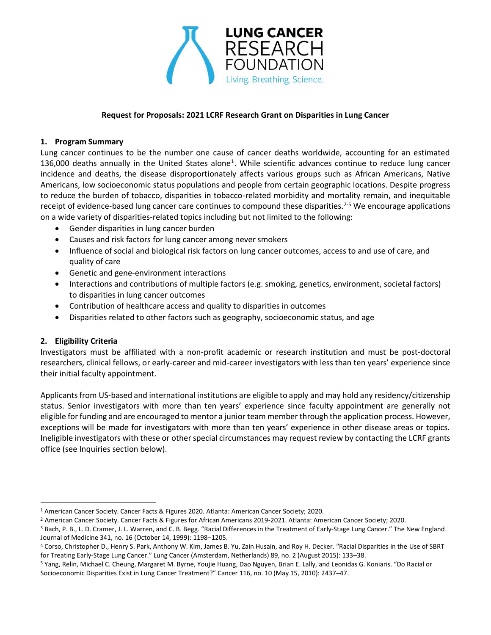

### **Request for Proposals: 2021 LCRF Research Grant on Disparities in Lung Cancer**

#### **1. Program Summary**

Lung cancer continues to be the number one cause of cancer deaths worldwide, accounting for an estimated 136,000 deaths annually in the United States alone<sup>1</sup>. While scientific advances continue to reduce lung cancer incidence and deaths, the disease disproportionately affects various groups such as African Americans, Native Americans, low socioeconomic status populations and people from certain geographic locations. Despite progress to reduce the burden of tobacco, disparities in tobacco-related morbidity and mortality remain, and inequitable receipt of evidence-based lung cancer care continues to compound these disparities.<sup>2-5</sup> We encourage applications on a wide variety of disparities-related topics including but not limited to the following:

- Gender disparities in lung cancer burden
- Causes and risk factors for lung cancer among never smokers
- Influence of social and biological risk factors on lung cancer outcomes, access to and use of care, and quality of care
- Genetic and gene-environment interactions
- Interactions and contributions of multiple factors (e.g. smoking, genetics, environment, societal factors) to disparities in lung cancer outcomes
- Contribution of healthcare access and quality to disparities in outcomes
- Disparities related to other factors such as geography, socioeconomic status, and age

#### **2. Eligibility Criteria**

Investigators must be affiliated with a non-profit academic or research institution and must be post-doctoral researchers, clinical fellows, or early-career and mid-career investigators with less than ten years' experience since their initial faculty appointment.

Applicants from US-based and international institutions are eligible to apply and may hold any residency/citizenship status. Senior investigators with more than ten years' experience since faculty appointment are generally not eligible for funding and are encouraged to mentor a junior team member through the application process. However, exceptions will be made for investigators with more than ten years' experience in other disease areas or topics. Ineligible investigators with these or other special circumstances may request review by contacting the LCRF grants office (see Inquiries section below).

<sup>1</sup> American Cancer Society. Cancer Facts & Figures 2020. Atlanta: American Cancer Society; 2020.

<sup>2</sup> American Cancer Society. Cancer Facts & Figures for African Americans 2019-2021. Atlanta: American Cancer Society; 2020.

<sup>3</sup> Bach, P. B., L. D. Cramer, J. L. Warren, and C. B. Begg. "Racial Differences in the Treatment of Early-Stage Lung Cancer." The New England Journal of Medicine 341, no. 16 (October 14, 1999): 1198–1205.

<sup>4</sup> Corso, Christopher D., Henry S. Park, Anthony W. Kim, James B. Yu, Zain Husain, and Roy H. Decker. "Racial Disparities in the Use of SBRT for Treating Early-Stage Lung Cancer." Lung Cancer (Amsterdam, Netherlands) 89, no. 2 (August 2015): 133–38.

<sup>5</sup> Yang, Relin, Michael C. Cheung, Margaret M. Byrne, Youjie Huang, Dao Nguyen, Brian E. Lally, and Leonidas G. Koniaris. "Do Racial or Socioeconomic Disparities Exist in Lung Cancer Treatment?" Cancer 116, no. 10 (May 15, 2010): 2437–47.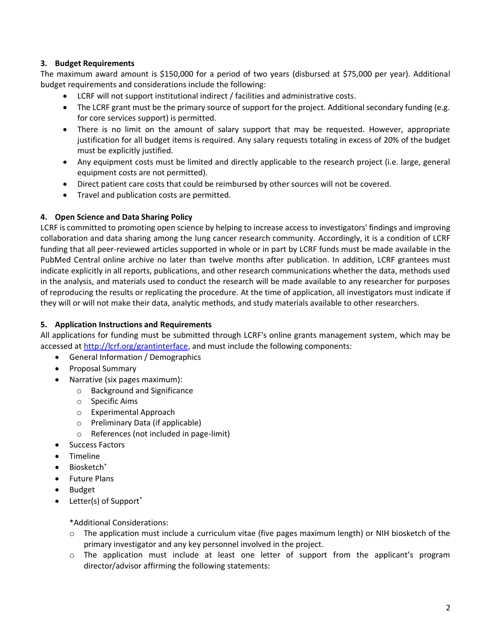# **3. Budget Requirements**

The maximum award amount is \$150,000 for a period of two years (disbursed at \$75,000 per year). Additional budget requirements and considerations include the following:

- LCRF will not support institutional indirect / facilities and administrative costs.
- The LCRF grant must be the primary source of support for the project. Additional secondary funding (e.g. for core services support) is permitted.
- There is no limit on the amount of salary support that may be requested. However, appropriate justification for all budget items is required. Any salary requests totaling in excess of 20% of the budget must be explicitly justified.
- Any equipment costs must be limited and directly applicable to the research project (i.e. large, general equipment costs are not permitted).
- Direct patient care costs that could be reimbursed by other sources will not be covered.
- Travel and publication costs are permitted.

### **4. Open Science and Data Sharing Policy**

LCRF is committed to promoting open science by helping to increase access to investigators' findings and improving collaboration and data sharing among the lung cancer research community. Accordingly, it is a condition of LCRF funding that all peer-reviewed articles supported in whole or in part by LCRF funds must be made available in the PubMed Central online archive no later than twelve months after publication. In addition, LCRF grantees must indicate explicitly in all reports, publications, and other research communications whether the data, methods used in the analysis, and materials used to conduct the research will be made available to any researcher for purposes of reproducing the results or replicating the procedure. At the time of application, all investigators must indicate if they will or will not make their data, analytic methods, and study materials available to other researchers.

#### **5. Application Instructions and Requirements**

All applications for funding must be submitted through LCRF's online grants management system, which may be accessed at [http://lcrf.org/grantinterface,](http://lcrf.org/grantinterface) and must include the following components:

- General Information / Demographics
- Proposal Summary
- Narrative (six pages maximum):
	- o Background and Significance
	- o Specific Aims
	- o Experimental Approach
	- o Preliminary Data (if applicable)
	- o References (not included in page-limit)
- Success Factors
- Timeline
- Biosketch\*
- Future Plans
- **Budget**
- Letter(s) of Support<sup>\*</sup>

\*Additional Considerations:

- o The application must include a curriculum vitae (five pages maximum length) or NIH biosketch of the primary investigator and any key personnel involved in the project.
- o The application must include at least one letter of support from the applicant's program director/advisor affirming the following statements: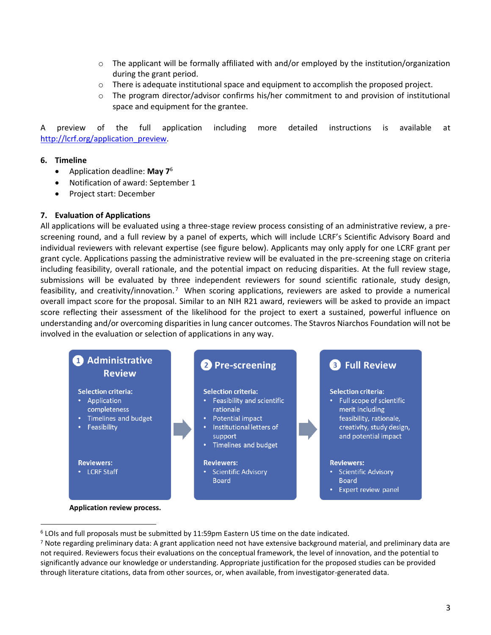- $\circ$  The applicant will be formally affiliated with and/or employed by the institution/organization during the grant period.
- $\circ$  There is adequate institutional space and equipment to accomplish the proposed project.
- o The program director/advisor confirms his/her commitment to and provision of institutional space and equipment for the grantee.

A preview of the full application including more detailed instructions is available at [http://lcrf.org/application\\_preview.](http://lcrf.org/application_preview)

#### **6. Timeline**

- Application deadline: **May 7** 6
- Notification of award: September 1
- Project start: December

#### **7. Evaluation of Applications**

All applications will be evaluated using a three-stage review process consisting of an administrative review, a prescreening round, and a full review by a panel of experts, which will include LCRF's Scientific Advisory Board and individual reviewers with relevant expertise (see figure below). Applicants may only apply for one LCRF grant per grant cycle. Applications passing the administrative review will be evaluated in the pre-screening stage on criteria including feasibility, overall rationale, and the potential impact on reducing disparities. At the full review stage, submissions will be evaluated by three independent reviewers for sound scientific rationale, study design, feasibility, and creativity/innovation.<sup>7</sup> When scoring applications, reviewers are asked to provide a numerical overall impact score for the proposal. Similar to an NIH R21 award, reviewers will be asked to provide an impact score reflecting their assessment of the likelihood for the project to exert a sustained, powerful influence on understanding and/or overcoming disparities in lung cancer outcomes. The Stavros Niarchos Foundation will not be involved in the evaluation or selection of applications in any way.



<sup>6</sup> LOIs and full proposals must be submitted by 11:59pm Eastern US time on the date indicated.

 $7$  Note regarding preliminary data: A grant application need not have extensive background material, and preliminary data are not required. Reviewers focus their evaluations on the conceptual framework, the level of innovation, and the potential to significantly advance our knowledge or understanding. Appropriate justification for the proposed studies can be provided through literature citations, data from other sources, or, when available, from investigator-generated data.